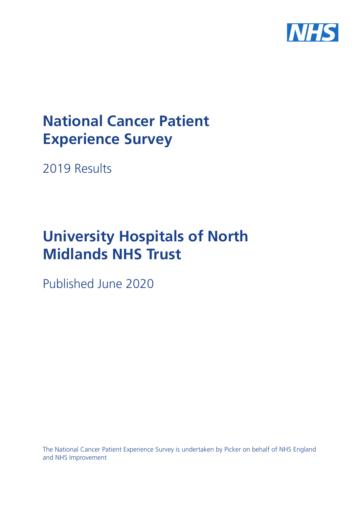

# **National Cancer Patient Experience Survey**

2019 Results

# **University Hospitals of North Midlands NHS Trust**

Published June 2020

The National Cancer Patient Experience Survey is undertaken by Picker on behalf of NHS England and NHS Improvement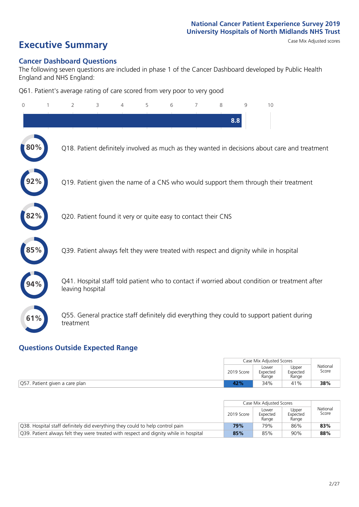# **Executive Summary** Case Mix Adjusted scores

#### **Cancer Dashboard Questions**

The following seven questions are included in phase 1 of the Cancer Dashboard developed by Public Health England and NHS England:

Q61. Patient's average rating of care scored from very poor to very good

| $\Omega$ | $\overline{2}$   | 3                                                             | 4 | 5 | 6 | 7 | 8   | 9 | 10                                                                                            |
|----------|------------------|---------------------------------------------------------------|---|---|---|---|-----|---|-----------------------------------------------------------------------------------------------|
|          |                  |                                                               |   |   |   |   | 8.8 |   |                                                                                               |
| 80%      |                  |                                                               |   |   |   |   |     |   | Q18. Patient definitely involved as much as they wanted in decisions about care and treatment |
|          |                  |                                                               |   |   |   |   |     |   | Q19. Patient given the name of a CNS who would support them through their treatment           |
| 2%       |                  | Q20. Patient found it very or quite easy to contact their CNS |   |   |   |   |     |   |                                                                                               |
|          |                  |                                                               |   |   |   |   |     |   | Q39. Patient always felt they were treated with respect and dignity while in hospital         |
|          | leaving hospital |                                                               |   |   |   |   |     |   | Q41. Hospital staff told patient who to contact if worried about condition or treatment after |
| 61%      | treatment        |                                                               |   |   |   |   |     |   | Q55. General practice staff definitely did everything they could to support patient during    |

### **Questions Outside Expected Range**

|                                | Case Mix Adjusted Scores |                            |                            |                   |
|--------------------------------|--------------------------|----------------------------|----------------------------|-------------------|
|                                | 2019 Score               | Lower<br>Expected<br>Range | Upper<br>Expected<br>Range | National<br>Score |
| Q57. Patient given a care plan | 42%                      | 34%                        | 41%                        | 38%               |

|                                                                                       |            | Case Mix Adjusted Scores   |                            |                   |
|---------------------------------------------------------------------------------------|------------|----------------------------|----------------------------|-------------------|
|                                                                                       | 2019 Score | Lower<br>Expected<br>Range | Upper<br>Expected<br>Range | National<br>Score |
| Q38. Hospital staff definitely did everything they could to help control pain         | 79%        | 79%                        | 86%                        | 83%               |
| Q39. Patient always felt they were treated with respect and dignity while in hospital | 85%        | 85%                        | 90%                        | 88%               |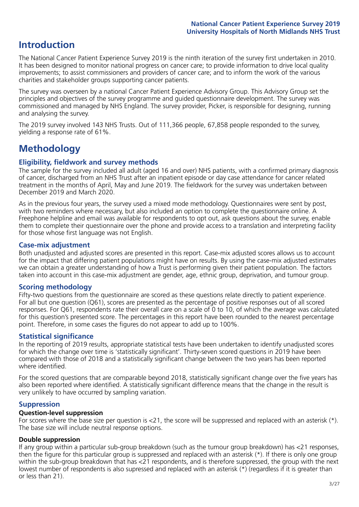## **Introduction**

The National Cancer Patient Experience Survey 2019 is the ninth iteration of the survey first undertaken in 2010. It has been designed to monitor national progress on cancer care; to provide information to drive local quality improvements; to assist commissioners and providers of cancer care; and to inform the work of the various charities and stakeholder groups supporting cancer patients.

The survey was overseen by a national Cancer Patient Experience Advisory Group. This Advisory Group set the principles and objectives of the survey programme and guided questionnaire development. The survey was commissioned and managed by NHS England. The survey provider, Picker, is responsible for designing, running and analysing the survey.

The 2019 survey involved 143 NHS Trusts. Out of 111,366 people, 67,858 people responded to the survey, yielding a response rate of 61%.

# **Methodology**

#### **Eligibility, eldwork and survey methods**

The sample for the survey included all adult (aged 16 and over) NHS patients, with a confirmed primary diagnosis of cancer, discharged from an NHS Trust after an inpatient episode or day case attendance for cancer related treatment in the months of April, May and June 2019. The fieldwork for the survey was undertaken between December 2019 and March 2020.

As in the previous four years, the survey used a mixed mode methodology. Questionnaires were sent by post, with two reminders where necessary, but also included an option to complete the questionnaire online. A Freephone helpline and email was available for respondents to opt out, ask questions about the survey, enable them to complete their questionnaire over the phone and provide access to a translation and interpreting facility for those whose first language was not English.

#### **Case-mix adjustment**

Both unadjusted and adjusted scores are presented in this report. Case-mix adjusted scores allows us to account for the impact that differing patient populations might have on results. By using the case-mix adjusted estimates we can obtain a greater understanding of how a Trust is performing given their patient population. The factors taken into account in this case-mix adjustment are gender, age, ethnic group, deprivation, and tumour group.

#### **Scoring methodology**

Fifty-two questions from the questionnaire are scored as these questions relate directly to patient experience. For all but one question (Q61), scores are presented as the percentage of positive responses out of all scored responses. For Q61, respondents rate their overall care on a scale of 0 to 10, of which the average was calculated for this question's presented score. The percentages in this report have been rounded to the nearest percentage point. Therefore, in some cases the figures do not appear to add up to 100%.

#### **Statistical significance**

In the reporting of 2019 results, appropriate statistical tests have been undertaken to identify unadjusted scores for which the change over time is 'statistically significant'. Thirty-seven scored questions in 2019 have been compared with those of 2018 and a statistically significant change between the two years has been reported where identified.

For the scored questions that are comparable beyond 2018, statistically significant change over the five years has also been reported where identified. A statistically significant difference means that the change in the result is very unlikely to have occurred by sampling variation.

#### **Suppression**

#### **Question-level suppression**

For scores where the base size per question is  $<$ 21, the score will be suppressed and replaced with an asterisk (\*). The base size will include neutral response options.

#### **Double suppression**

If any group within a particular sub-group breakdown (such as the tumour group breakdown) has <21 responses, then the figure for this particular group is suppressed and replaced with an asterisk (\*). If there is only one group within the sub-group breakdown that has <21 respondents, and is therefore suppressed, the group with the next lowest number of respondents is also supressed and replaced with an asterisk (\*) (regardless if it is greater than or less than 21).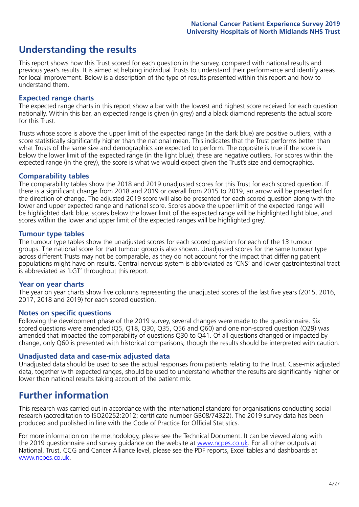## **Understanding the results**

This report shows how this Trust scored for each question in the survey, compared with national results and previous year's results. It is aimed at helping individual Trusts to understand their performance and identify areas for local improvement. Below is a description of the type of results presented within this report and how to understand them.

#### **Expected range charts**

The expected range charts in this report show a bar with the lowest and highest score received for each question nationally. Within this bar, an expected range is given (in grey) and a black diamond represents the actual score for this Trust.

Trusts whose score is above the upper limit of the expected range (in the dark blue) are positive outliers, with a score statistically significantly higher than the national mean. This indicates that the Trust performs better than what Trusts of the same size and demographics are expected to perform. The opposite is true if the score is below the lower limit of the expected range (in the light blue); these are negative outliers. For scores within the expected range (in the grey), the score is what we would expect given the Trust's size and demographics.

#### **Comparability tables**

The comparability tables show the 2018 and 2019 unadjusted scores for this Trust for each scored question. If there is a significant change from 2018 and 2019 or overall from 2015 to 2019, an arrow will be presented for the direction of change. The adjusted 2019 score will also be presented for each scored question along with the lower and upper expected range and national score. Scores above the upper limit of the expected range will be highlighted dark blue, scores below the lower limit of the expected range will be highlighted light blue, and scores within the lower and upper limit of the expected ranges will be highlighted grey.

#### **Tumour type tables**

The tumour type tables show the unadjusted scores for each scored question for each of the 13 tumour groups. The national score for that tumour group is also shown. Unadjusted scores for the same tumour type across different Trusts may not be comparable, as they do not account for the impact that differing patient populations might have on results. Central nervous system is abbreviated as 'CNS' and lower gastrointestinal tract is abbreviated as 'LGT' throughout this report.

#### **Year on year charts**

The year on year charts show five columns representing the unadjusted scores of the last five years (2015, 2016, 2017, 2018 and 2019) for each scored question.

#### **Notes on specific questions**

Following the development phase of the 2019 survey, several changes were made to the questionnaire. Six scored questions were amended (Q5, Q18, Q30, Q35, Q56 and Q60) and one non-scored question (Q29) was amended that impacted the comparability of questions Q30 to Q41. Of all questions changed or impacted by change, only Q60 is presented with historical comparisons; though the results should be interpreted with caution.

#### **Unadjusted data and case-mix adjusted data**

Unadjusted data should be used to see the actual responses from patients relating to the Trust. Case-mix adjusted data, together with expected ranges, should be used to understand whether the results are significantly higher or lower than national results taking account of the patient mix.

### **Further information**

This research was carried out in accordance with the international standard for organisations conducting social research (accreditation to ISO20252:2012; certificate number GB08/74322). The 2019 survey data has been produced and published in line with the Code of Practice for Official Statistics.

For more information on the methodology, please see the Technical Document. It can be viewed along with the 2019 questionnaire and survey quidance on the website at [www.ncpes.co.uk](https://www.ncpes.co.uk/supporting-documents). For all other outputs at National, Trust, CCG and Cancer Alliance level, please see the PDF reports, Excel tables and dashboards at [www.ncpes.co.uk.](https://www.ncpes.co.uk/current-results)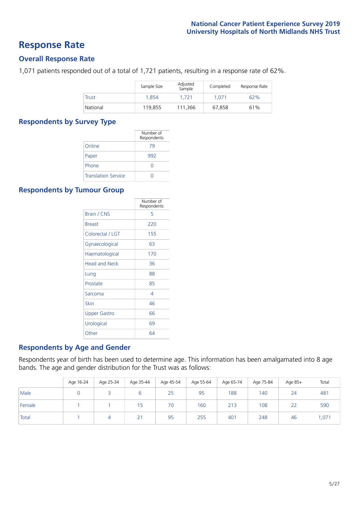### **Response Rate**

#### **Overall Response Rate**

1,071 patients responded out of a total of 1,721 patients, resulting in a response rate of 62%.

|          | Sample Size | Adjusted<br>Sample | Completed | Response Rate |
|----------|-------------|--------------------|-----------|---------------|
| Trust    | 1.854       | 1.721              | 1.071     | 62%           |
| National | 119,855     | 111.366            | 67,858    | 61%           |

#### **Respondents by Survey Type**

|                            | Number of<br>Respondents |
|----------------------------|--------------------------|
| Online                     | 79                       |
| Paper                      | 992                      |
| Phone                      | Ω                        |
| <b>Translation Service</b> |                          |

#### **Respondents by Tumour Group**

|                      | Number of<br>Respondents |
|----------------------|--------------------------|
| <b>Brain / CNS</b>   | 5                        |
| <b>Breast</b>        | 220                      |
| Colorectal / LGT     | 155                      |
| Gynaecological       | 63                       |
| Haematological       | 170                      |
| <b>Head and Neck</b> | 36                       |
| Lung                 | 88                       |
| Prostate             | 85                       |
| Sarcoma              | 4                        |
| Skin                 | 46                       |
| <b>Upper Gastro</b>  | 66                       |
| Urological           | 69                       |
| Other                | 64                       |

#### **Respondents by Age and Gender**

Respondents year of birth has been used to determine age. This information has been amalgamated into 8 age bands. The age and gender distribution for the Trust was as follows:

|        | Age 16-24 | Age 25-34 | Age 35-44 | Age 45-54 | Age 55-64 | Age 65-74 | Age 75-84 | Age 85+ | Total |
|--------|-----------|-----------|-----------|-----------|-----------|-----------|-----------|---------|-------|
| Male   |           |           | ь         | 25        | 95        | 188       | 140       | 24      | 481   |
| Female |           |           | כ ו       | 70        | 160       | 213       | 108       | 22      | 590   |
| Total  |           |           | 21        | 95        | 255       | 401       | 248       | 46      | 071,  |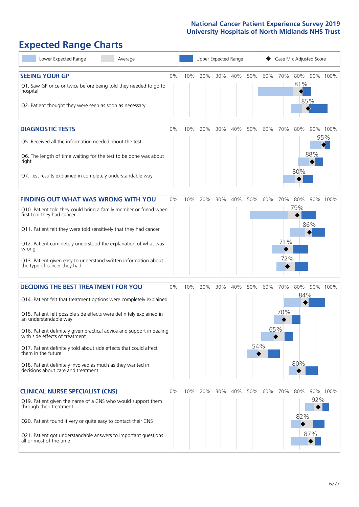# **Expected Range Charts**

| Lower Expected Range<br>Average                                                                                                                                                                                                                                                                                                                                                                                                                                                                                             |       |     | Upper Expected Range |     |     |            |            |                   | Case Mix Adjusted Score |            |                 |
|-----------------------------------------------------------------------------------------------------------------------------------------------------------------------------------------------------------------------------------------------------------------------------------------------------------------------------------------------------------------------------------------------------------------------------------------------------------------------------------------------------------------------------|-------|-----|----------------------|-----|-----|------------|------------|-------------------|-------------------------|------------|-----------------|
| <b>SEEING YOUR GP</b><br>Q1. Saw GP once or twice before being told they needed to go to<br>hospital<br>Q2. Patient thought they were seen as soon as necessary                                                                                                                                                                                                                                                                                                                                                             | $0\%$ | 10% | 20%                  | 30% | 40% | 50%        | 60%        | 70%               | 80%<br>81%              | 85%        | 90% 100%        |
| <b>DIAGNOSTIC TESTS</b><br>Q5. Received all the information needed about the test<br>Q6. The length of time waiting for the test to be done was about<br>right<br>Q7. Test results explained in completely understandable way                                                                                                                                                                                                                                                                                               | 0%    | 10% | 20%                  | 30% | 40% | 50%        | 60%        | 70%               | 80%<br>80%              | 88%        | 90% 100%<br>95% |
| <b>FINDING OUT WHAT WAS WRONG WITH YOU</b><br>Q10. Patient told they could bring a family member or friend when<br>first told they had cancer<br>Q11. Patient felt they were told sensitively that they had cancer<br>Q12. Patient completely understood the explanation of what was<br>wrong<br>Q13. Patient given easy to understand written information about<br>the type of cancer they had                                                                                                                             | 0%    | 10% | 20%                  | 30% | 40% | 50%        | 60%        | 70%<br>71%<br>72% | 80%<br>79%              | 86%        | 90% 100%        |
| <b>DECIDING THE BEST TREATMENT FOR YOU</b><br>Q14. Patient felt that treatment options were completely explained<br>Q15. Patient felt possible side effects were definitely explained in<br>an understandable way<br>Q16. Patient definitely given practical advice and support in dealing<br>with side effects of treatment<br>Q17. Patient definitely told about side effects that could affect<br>them in the future<br>Q18. Patient definitely involved as much as they wanted in<br>decisions about care and treatment | 0%    | 10% | 20%                  | 30% | 40% | 50%<br>54% | 60%<br>65% | 70%<br>70%        | 80%<br>84%<br>80%       |            | 90% 100%        |
| <b>CLINICAL NURSE SPECIALIST (CNS)</b><br>Q19. Patient given the name of a CNS who would support them<br>through their treatment<br>Q20. Patient found it very or quite easy to contact their CNS<br>Q21. Patient got understandable answers to important questions<br>all or most of the time                                                                                                                                                                                                                              | 0%    | 10% | 20%                  | 30% | 40% | 50%        | 60%        | 70%               | 80%<br>82%              | 92%<br>87% | 90% 100%        |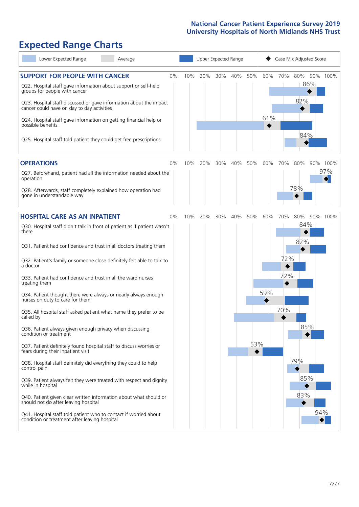# **Expected Range Charts**

| Lower Expected Range<br>Average                                                                                                                                                                                 |    |     |     |     | Upper Expected Range |     |     |     | Case Mix Adjusted Score    |          |
|-----------------------------------------------------------------------------------------------------------------------------------------------------------------------------------------------------------------|----|-----|-----|-----|----------------------|-----|-----|-----|----------------------------|----------|
| <b>SUPPORT FOR PEOPLE WITH CANCER</b><br>Q22. Hospital staff gave information about support or self-help<br>groups for people with cancer<br>Q23. Hospital staff discussed or gave information about the impact | 0% | 10% | 20% | 30% | 40%                  | 50% | 60% | 70% | 80% 90% 100%<br>86%<br>82% |          |
| cancer could have on day to day activities<br>Q24. Hospital staff gave information on getting financial help or<br>possible benefits                                                                            |    |     |     |     |                      |     | 61% |     | 84%                        |          |
| Q25. Hospital staff told patient they could get free prescriptions                                                                                                                                              |    |     |     |     |                      |     |     |     |                            |          |
| <b>OPERATIONS</b>                                                                                                                                                                                               | 0% | 10% | 20% | 30% | 40%                  | 50% | 60% | 70% | 80%                        | 90% 100% |
| Q27. Beforehand, patient had all the information needed about the<br>operation                                                                                                                                  |    |     |     |     |                      |     |     |     |                            | 97%      |
| Q28. Afterwards, staff completely explained how operation had<br>gone in understandable way                                                                                                                     |    |     |     |     |                      |     |     |     | 78%                        |          |
| <b>HOSPITAL CARE AS AN INPATIENT</b>                                                                                                                                                                            | 0% | 10% | 20% | 30% | 40%                  | 50% | 60% | 70% | 80%                        | 90% 100% |
| Q30. Hospital staff didn't talk in front of patient as if patient wasn't<br>there                                                                                                                               |    |     |     |     |                      |     |     |     | 84%<br>82%                 |          |
| Q31. Patient had confidence and trust in all doctors treating them                                                                                                                                              |    |     |     |     |                      |     |     |     |                            |          |
| Q32. Patient's family or someone close definitely felt able to talk to<br>a doctor                                                                                                                              |    |     |     |     |                      |     |     | 72% |                            |          |
| Q33. Patient had confidence and trust in all the ward nurses<br>treating them                                                                                                                                   |    |     |     |     |                      |     |     | 72% |                            |          |
| Q34. Patient thought there were always or nearly always enough<br>nurses on duty to care for them                                                                                                               |    |     |     |     |                      |     | 59% |     |                            |          |
| Q35. All hospital staff asked patient what name they prefer to be<br>called by                                                                                                                                  |    |     |     |     |                      |     |     | 70% |                            |          |
| Q36. Patient always given enough privacy when discussing<br>condition or treatment                                                                                                                              |    |     |     |     |                      |     |     |     | 85%                        |          |
| Q37. Patient definitely found hospital staff to discuss worries or<br>fears during their inpatient visit                                                                                                        |    |     |     |     |                      | 53% |     |     |                            |          |
| Q38. Hospital staff definitely did everything they could to help<br>control pain                                                                                                                                |    |     |     |     |                      |     |     |     | 79%                        |          |
| Q39. Patient always felt they were treated with respect and dignity<br>while in hospital                                                                                                                        |    |     |     |     |                      |     |     |     | 85%                        |          |
| Q40. Patient given clear written information about what should or<br>should not do after leaving hospital                                                                                                       |    |     |     |     |                      |     |     |     | 83%                        |          |
| Q41. Hospital staff told patient who to contact if worried about<br>condition or treatment after leaving hospital                                                                                               |    |     |     |     |                      |     |     |     |                            | 94%      |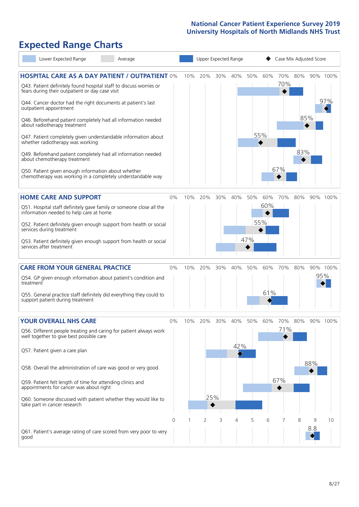# **Expected Range Charts**

| Lower Expected Range<br>Average                                                                                                                                                                                                                |                |     |     |     | Upper Expected Range |     | Case Mix Adjusted Score |            |            |     |                 |  |
|------------------------------------------------------------------------------------------------------------------------------------------------------------------------------------------------------------------------------------------------|----------------|-----|-----|-----|----------------------|-----|-------------------------|------------|------------|-----|-----------------|--|
| <b>HOSPITAL CARE AS A DAY PATIENT / OUTPATIENT 0%</b><br>Q43. Patient definitely found hospital staff to discuss worries or<br>fears during their outpatient or day case visit<br>Q44. Cancer doctor had the right documents at patient's last |                | 10% | 20% | 30% | 40%                  | 50% | 60%                     | 70%<br>70% | 80%        |     | 90% 100%<br>97% |  |
| outpatient appointment<br>Q46. Beforehand patient completely had all information needed<br>about radiotherapy treatment<br>Q47. Patient completely given understandable information about<br>whether radiotherapy was working                  |                |     |     |     |                      |     | 55%                     |            | 85%<br>83% |     |                 |  |
| Q49. Beforehand patient completely had all information needed<br>about chemotherapy treatment<br>Q50. Patient given enough information about whether<br>chemotherapy was working in a completely understandable way                            |                |     |     |     |                      |     |                         | 67%        |            |     |                 |  |
| <b>HOME CARE AND SUPPORT</b>                                                                                                                                                                                                                   | 0%             | 10% | 20% | 30% | 40%                  | 50% | 60%<br>60%              | 70%        | 80%        |     | 90% 100%        |  |
| Q51. Hospital staff definitely gave family or someone close all the<br>information needed to help care at home                                                                                                                                 |                |     |     |     |                      |     |                         |            |            |     |                 |  |
| Q52. Patient definitely given enough support from health or social<br>services during treatment                                                                                                                                                |                |     |     |     |                      |     | 55%                     |            |            |     |                 |  |
| Q53. Patient definitely given enough support from health or social<br>services after treatment                                                                                                                                                 |                |     |     |     |                      | 47% |                         |            |            |     |                 |  |
| <b>CARE FROM YOUR GENERAL PRACTICE</b>                                                                                                                                                                                                         | 0%             | 10% | 20% | 30% | 40%                  | 50% | 60%                     | 70%        | 80%        |     | 90% 100%        |  |
| Q54. GP given enough information about patient's condition and<br>treatment                                                                                                                                                                    |                |     |     |     |                      |     |                         |            |            |     | 95%             |  |
| Q55. General practice staff definitely did everything they could to<br>support patient during treatment                                                                                                                                        |                |     |     |     |                      |     | 61%                     |            |            |     |                 |  |
| <b>YOUR OVERALL NHS CARE</b>                                                                                                                                                                                                                   | $0\%$          | 10% | 20% | 30% | 40%                  | 50% | 60%                     | 70%        | 80%        |     | 90% 100%        |  |
| Q56. Different people treating and caring for patient always work<br>well together to give best possible care<br>Q57. Patient given a care plan                                                                                                |                |     |     |     | 42%                  |     |                         | 71%        |            |     |                 |  |
| Q58. Overall the administration of care was good or very good                                                                                                                                                                                  |                |     |     |     |                      |     |                         |            |            | 88% |                 |  |
| Q59. Patient felt length of time for attending clinics and<br>appointments for cancer was about right                                                                                                                                          |                |     |     |     |                      |     |                         | 67%        |            |     |                 |  |
| Q60. Someone discussed with patient whether they would like to<br>take part in cancer research                                                                                                                                                 |                |     | 25% |     |                      |     |                         |            |            |     |                 |  |
|                                                                                                                                                                                                                                                | $\overline{0}$ | -1  | 2   | 3   | 4                    | 5   | 6                       | 7          | 8          | 9   | 10              |  |
| Q61. Patient's average rating of care scored from very poor to very<br>good                                                                                                                                                                    |                |     |     |     |                      |     |                         |            |            | 8.8 |                 |  |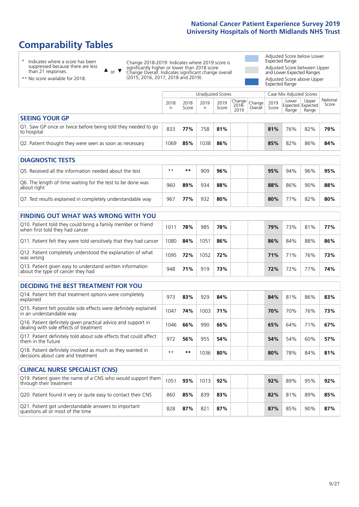# **Comparability Tables**

\* Indicates where a score has been suppressed because there are less than 21 responses.

\*\* No score available for 2018.

 $\triangle$  or  $\nabla$ 

Change 2018-2019: Indicates where 2019 score is significantly higher or lower than 2018 score Change Overall: Indicates significant change overall (2015, 2016, 2017, 2018 and 2019).

Adjusted Score below Lower Expected Range Adjusted Score between Upper and Lower Expected Ranges Adjusted Score above Upper Expected Range

|                                                                             | Case Mix Adjusted Scores<br>Unadjusted Scores |               |      |               |                                                         |  |               |                                            |                |                   |
|-----------------------------------------------------------------------------|-----------------------------------------------|---------------|------|---------------|---------------------------------------------------------|--|---------------|--------------------------------------------|----------------|-------------------|
|                                                                             | 2018<br>n                                     | 2018<br>Score | 2019 | 2019<br>Score | Change<br>2018- Change<br>2010 Overall<br>2018-<br>2019 |  | 2019<br>Score | Lower<br><b>Expected Expected</b><br>Range | Upper<br>Range | National<br>Score |
| <b>SEEING YOUR GP</b>                                                       |                                               |               |      |               |                                                         |  |               |                                            |                |                   |
| Q1. Saw GP once or twice before being told they needed to go<br>to hospital | 833                                           | 77%           | 758  | 81%           |                                                         |  | 81%           | 76%                                        | 82%            | 79%               |
| Q2. Patient thought they were seen as soon as necessary                     | 1069                                          | 85%           | 1038 | 86%           |                                                         |  | 85%           | 82%                                        | 86%            | 84%               |

| <b>DIAGNOSTIC TESTS</b>                                                   |       |     |     |     |  |     |     |     |     |
|---------------------------------------------------------------------------|-------|-----|-----|-----|--|-----|-----|-----|-----|
| Q5. Received all the information needed about the test                    | $* *$ | **  | 909 | 96% |  | 95% | 94% | 96% | 95% |
| Q6. The length of time waiting for the test to be done was<br>about right | 960   | 89% | 934 | 88% |  | 88% | 86% | 90% | 88% |
| Q7. Test results explained in completely understandable way               | 967   | 77% | 932 | 80% |  | 80% | 77% | 82% | 80% |

| <b>FINDING OUT WHAT WAS WRONG WITH YOU</b>                                                      |      |     |      |     |     |     |     |     |
|-------------------------------------------------------------------------------------------------|------|-----|------|-----|-----|-----|-----|-----|
| Q10. Patient told they could bring a family member or friend<br>when first told they had cancer | 1011 | 78% | 985  | 78% | 79% | 73% | 81% | 77% |
| Q11. Patient felt they were told sensitively that they had cancer                               | 1080 | 84% | 1051 | 86% | 86% | 84% | 88% | 86% |
| Q12. Patient completely understood the explanation of what<br>was wrong                         | 1095 | 72% | 1052 | 72% | 71% | 71% | 76% | 73% |
| Q13. Patient given easy to understand written information<br>about the type of cancer they had  | 948  | 71% | 919  | 73% | 72% | 72% | 77% | 74% |

| <b>DECIDING THE BEST TREATMENT FOR YOU</b>                                                              |      |     |      |     |  |     |     |     |     |
|---------------------------------------------------------------------------------------------------------|------|-----|------|-----|--|-----|-----|-----|-----|
| Q14. Patient felt that treatment options were completely<br>explained                                   | 973  | 83% | 929  | 84% |  | 84% | 81% | 86% | 83% |
| Q15. Patient felt possible side effects were definitely explained<br>in an understandable way           | 1047 | 74% | 1003 | 71% |  | 70% | 70% | 76% | 73% |
| Q16. Patient definitely given practical advice and support in<br>dealing with side effects of treatment | 1046 | 66% | 990  | 66% |  | 65% | 64% | 71% | 67% |
| Q17. Patient definitely told about side effects that could affect<br>them in the future                 | 972  | 56% | 955  | 54% |  | 54% | 54% | 60% | 57% |
| Q18. Patient definitely involved as much as they wanted in<br>decisions about care and treatment        | $**$ | **  | 1036 | 80% |  | 80% | 78% | 84% | 81% |

| <b>CLINICAL NURSE SPECIALIST (CNS)</b>                                                    |      |     |      |     |     |     |     |     |
|-------------------------------------------------------------------------------------------|------|-----|------|-----|-----|-----|-----|-----|
| Q19. Patient given the name of a CNS who would support them<br>through their treatment    | 1051 | 93% | 1013 | 92% | 92% | 89% | 95% | 92% |
| Q20. Patient found it very or quite easy to contact their CNS                             | 860  | 85% | 839  | 83% | 82% | 81% | 89% | 85% |
| Q21. Patient got understandable answers to important<br>questions all or most of the time | 828  | 87% | 821  | 87% | 87% | 85% | 90% | 87% |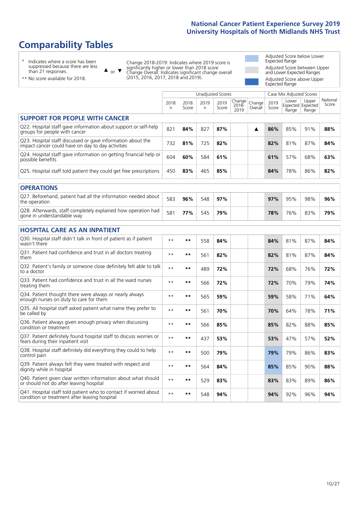# **Comparability Tables**

\* Indicates where a score has been suppressed because there are less than 21 responses.

\*\* No score available for 2018.

 $\triangle$  or  $\nabla$ 

Change 2018-2019: Indicates where 2019 score is significantly higher or lower than 2018 score Change Overall: Indicates significant change overall (2015, 2016, 2017, 2018 and 2019).

Adjusted Score below Lower Expected Range Adjusted Score between Upper and Lower Expected Ranges Adjusted Score above Upper Expected Range

|                                                                                                                   |           |               |           | <b>Unadjusted Scores</b> |                         |                   |               | Case Mix Adjusted Scores            |                |                   |
|-------------------------------------------------------------------------------------------------------------------|-----------|---------------|-----------|--------------------------|-------------------------|-------------------|---------------|-------------------------------------|----------------|-------------------|
|                                                                                                                   | 2018<br>n | 2018<br>Score | 2019<br>n | 2019<br>Score            | Change<br>2018-<br>2019 | Change<br>Overall | 2019<br>Score | Lower<br>Expected Expected<br>Range | Upper<br>Range | National<br>Score |
| <b>SUPPORT FOR PEOPLE WITH CANCER</b>                                                                             |           |               |           |                          |                         |                   |               |                                     |                |                   |
| Q22. Hospital staff gave information about support or self-help<br>groups for people with cancer                  | 821       | 84%           | 827       | 87%                      |                         | ▲                 | 86%           | 85%                                 | 91%            | 88%               |
| Q23. Hospital staff discussed or gave information about the<br>impact cancer could have on day to day activities  | 732       | 81%           | 725       | 82%                      |                         |                   | 82%           | 81%                                 | 87%            | 84%               |
| Q24. Hospital staff gave information on getting financial help or<br>possible benefits                            | 604       | 60%           | 584       | 61%                      |                         |                   | 61%           | 57%                                 | 68%            | 63%               |
| Q25. Hospital staff told patient they could get free prescriptions                                                | 450       | 83%           | 465       | 85%                      |                         |                   | 84%           | 78%                                 | 86%            | 82%               |
| <b>OPERATIONS</b>                                                                                                 |           |               |           |                          |                         |                   |               |                                     |                |                   |
| Q27. Beforehand, patient had all the information needed about<br>the operation                                    | 583       | 96%           | 548       | 97%                      |                         |                   | 97%           | 95%                                 | 98%            | 96%               |
| Q28. Afterwards, staff completely explained how operation had<br>gone in understandable way                       | 581       | 77%           | 545       | 79%                      |                         |                   | 78%           | 76%                                 | 83%            | 79%               |
| <b>HOSPITAL CARE AS AN INPATIENT</b>                                                                              |           |               |           |                          |                         |                   |               |                                     |                |                   |
| Q30. Hospital staff didn't talk in front of patient as if patient<br>wasn't there                                 | $* *$     | $***$         | 558       | 84%                      |                         |                   | 84%           | 81%                                 | 87%            | 84%               |
| Q31. Patient had confidence and trust in all doctors treating<br>them                                             | $* *$     | $***$         | 561       | 82%                      |                         |                   | 82%           | 81%                                 | 87%            | 84%               |
| Q32. Patient's family or someone close definitely felt able to talk<br>to a doctor                                | $* *$     | $***$         | 489       | 72%                      |                         |                   | 72%           | 68%                                 | 76%            | 72%               |
| Q33. Patient had confidence and trust in all the ward nurses<br>treating them                                     | $* *$     | $***$         | 566       | 72%                      |                         |                   | 72%           | 70%                                 | 79%            | 74%               |
| Q34. Patient thought there were always or nearly always<br>enough nurses on duty to care for them                 | $* *$     | $***$         | 565       | 59%                      |                         |                   | 59%           | 58%                                 | 71%            | 64%               |
| Q35. All hospital staff asked patient what name they prefer to<br>be called by                                    | $**$      | $***$         | 561       | 70%                      |                         |                   | 70%           | 64%                                 | 78%            | 71%               |
| Q36. Patient always given enough privacy when discussing<br>condition or treatment                                | $* *$     | $**$          | 566       | 85%                      |                         |                   | 85%           | 82%                                 | 88%            | 85%               |
| Q37. Patient definitely found hospital staff to discuss worries or<br>fears during their inpatient visit          | $* *$     | $***$         | 437       | 53%                      |                         |                   | 53%           | 47%                                 | 57%            | 52%               |
| Q38. Hospital staff definitely did everything they could to help<br>control pain                                  | $* *$     | $***$         | 500       | 79%                      |                         |                   | 79%           | 79%                                 | 86%            | 83%               |
| Q39. Patient always felt they were treated with respect and<br>dignity while in hospital                          | $* *$     | $***$         | 564       | 84%                      |                         |                   | 85%           | 85%                                 | 90%            | 88%               |
| Q40. Patient given clear written information about what should<br>or should not do after leaving hospital         | $* *$     | $***$         | 529       | 83%                      |                         |                   | 83%           | 83%                                 | 89%            | 86%               |
| Q41. Hospital staff told patient who to contact if worried about<br>condition or treatment after leaving hospital | $**$      | $***$         | 548       | 94%                      |                         |                   | 94%           | 92%                                 | 96%            | 94%               |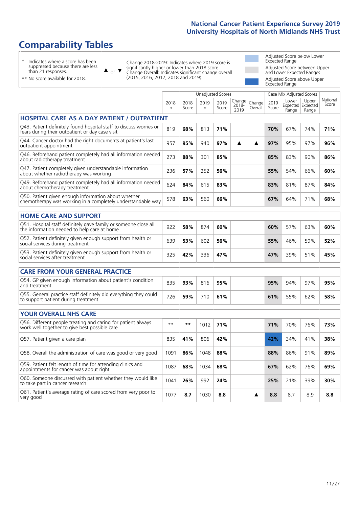# **Comparability Tables**

\* Indicates where a score has been suppressed because there are less than 21 responses.

\*\* No score available for 2018.

to take part in cancer research

or  $\blacktriangledown$  $\blacktriangle$ 

Change 2018-2019: Indicates where 2019 score is significantly higher or lower than 2018 score Change Overall: Indicates significant change overall (2015, 2016, 2017, 2018 and 2019).

Adjusted Score below Lower Expected Range Adjusted Score between Upper and Lower Expected Ranges Adjusted Score above Upper Expected Range

|                                                                                                                       |              |               |            | <b>Unadjusted Scores</b> |                         |                   |               | Case Mix Adjusted Scores |                                     |                   |
|-----------------------------------------------------------------------------------------------------------------------|--------------|---------------|------------|--------------------------|-------------------------|-------------------|---------------|--------------------------|-------------------------------------|-------------------|
|                                                                                                                       | 2018<br>n    | 2018<br>Score | 2019<br>n. | 2019<br>Score            | Change<br>2018-<br>2019 | Change<br>Overall | 2019<br>Score | Lower<br>Range           | Upper<br>Expected Expected<br>Range | National<br>Score |
| <b>HOSPITAL CARE AS A DAY PATIENT / OUTPATIENT</b>                                                                    |              |               |            |                          |                         |                   |               |                          |                                     |                   |
| Q43. Patient definitely found hospital staff to discuss worries or<br>fears during their outpatient or day case visit | 819          | 68%           | 813        | 71%                      |                         |                   | 70%           | 67%                      | 74%                                 | 71%               |
| Q44. Cancer doctor had the right documents at patient's last<br>outpatient appointment                                | 957          | 95%           | 940        | 97%                      | ▲                       | ▲                 | 97%           | 95%                      | 97%                                 | 96%               |
| Q46. Beforehand patient completely had all information needed<br>about radiotherapy treatment                         | 273          | 88%           | 301        | 85%                      |                         |                   | 85%           | 83%                      | 90%                                 | 86%               |
| Q47. Patient completely given understandable information<br>about whether radiotherapy was working                    | 236          | 57%           | 252        | 56%                      |                         |                   | 55%           | 54%                      | 66%                                 | 60%               |
| Q49. Beforehand patient completely had all information needed<br>about chemotherapy treatment                         | 624          | 84%           | 615        | 83%                      |                         |                   | 83%           | 81%                      | 87%                                 | 84%               |
| Q50. Patient given enough information about whether<br>chemotherapy was working in a completely understandable way    | 578          | 63%           | 560        | 66%                      |                         |                   | 67%           | 64%                      | 71%                                 | 68%               |
| <b>HOME CARE AND SUPPORT</b>                                                                                          |              |               |            |                          |                         |                   |               |                          |                                     |                   |
| Q51. Hospital staff definitely gave family or someone close all<br>the information needed to help care at home        | 922          | 58%           | 874        | 60%                      |                         |                   | 60%           | 57%                      | 63%                                 | 60%               |
| Q52. Patient definitely given enough support from health or<br>social services during treatment                       | 639          | 53%           | 602        | 56%                      |                         |                   | 55%           | 46%                      | 59%                                 | 52%               |
| Q53. Patient definitely given enough support from health or<br>social services after treatment                        | 325          | 42%           | 336        | 47%                      |                         |                   | 47%           | 39%                      | 51%                                 | 45%               |
| <b>CARE FROM YOUR GENERAL PRACTICE</b>                                                                                |              |               |            |                          |                         |                   |               |                          |                                     |                   |
| Q54. GP given enough information about patient's condition<br>and treatment                                           | 835          | 93%           | 816        | 95%                      |                         |                   | 95%           | 94%                      | 97%                                 | 95%               |
| Q55. General practice staff definitely did everything they could<br>to support patient during treatment               | 726          | 59%           | 710        | 61%                      |                         |                   | 61%           | 55%                      | 62%                                 | 58%               |
| <b>YOUR OVERALL NHS CARE</b>                                                                                          |              |               |            |                          |                         |                   |               |                          |                                     |                   |
| Q56. Different people treating and caring for patient always<br>work well together to give best possible care         | $\star\star$ | **            | 1012       | 71%                      |                         |                   | 71%           | 70%                      | 76%                                 | 73%               |
| Q57. Patient given a care plan                                                                                        | 835          | 41%           | 806        | 42%                      |                         |                   | 42%           | 34%                      | 41%                                 | 38%               |
| Q58. Overall the administration of care was good or very good                                                         | 1091         | 86%           | 1048       | 88%                      |                         |                   | 88%           | 86%                      | 91%                                 | 89%               |
| Q59. Patient felt length of time for attending clinics and<br>appointments for cancer was about right                 | 1087         | 68%           | 1034       | 68%                      |                         |                   | 67%           | 62%                      | 76%                                 | 69%               |
| Q60. Someone discussed with patient whether they would like<br>to take part in cancer recearch                        | 1041         | 26%           | 992        | 24%                      |                         |                   | 25%           | 21%                      | 39%                                 | 30%               |

Q61. Patient's average rating of care scored from very poor to very good <sup>1077</sup> **8.7** <sup>1030</sup> **8.8 8.8** 8.7 8.9 **8.8**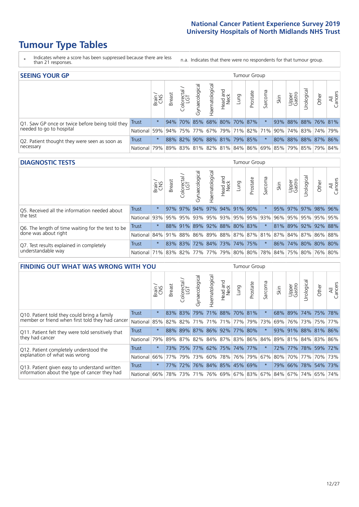# **Tumour Type Tables**

- \* Indicates where a score has been suppressed because there are less than 21 responses.
- n.a. Indicates that there were no respondents for that tumour group.

| <b>SEEING YOUR GP</b>                           |              |               |               |                             |                   |                |                  |      | Tumour Group |         |      |                 |                                                                             |       |                |
|-------------------------------------------------|--------------|---------------|---------------|-----------------------------|-------------------|----------------|------------------|------|--------------|---------|------|-----------------|-----------------------------------------------------------------------------|-------|----------------|
|                                                 |              | Brain.<br>CNS | <b>Breast</b> | Colorectal<br>LGT           | ত<br>Gynaecologic | Haematological | Head and<br>Neck | Lung | Prostate     | Sarcoma | Skin | Upper<br>Gastro | $\sigma$<br>Jrologica                                                       | Other | All<br>Cancers |
| Q1. Saw GP once or twice before being told they | Trust        | $^\star$      |               | 94% 70% 85% 68% 80% 70% 87% |                   |                |                  |      |              |         |      |                 | 93% 88% 88% 76% 81%                                                         |       |                |
| needed to go to hospital                        | National 59% |               |               |                             |                   |                |                  |      |              |         |      |                 | 94% 75% 77% 67% 79% 71% 82% 71% 90% 74% 83% 74% 79%                         |       |                |
| Q2. Patient thought they were seen as soon as   | <b>Trust</b> | $\star$       |               | 88% 82% 90% 88% 81% 79% 85% |                   |                |                  |      |              | $\star$ |      |                 | 80% 88% 88% 87% 86%                                                         |       |                |
| necessary                                       | National I   | 79%           |               |                             |                   |                |                  |      |              |         |      |                 | 89%   83%   81%   82%   81%   84%   86%   69%   85%   79%   85%   79%   84% |       |                |

#### **DIAGNOSTIC TESTS** Tumour Group

|                                                   |                                                                  | Brain<br>CNS | <b>Breast</b> | Colorectal<br>LGT | Gynaecological | Haematological      | Head and<br>Neck | Lung | Prostate | Sarcoma             | Skin | Upper<br>Gastro | rological | Other | All<br>Cancers      |
|---------------------------------------------------|------------------------------------------------------------------|--------------|---------------|-------------------|----------------|---------------------|------------------|------|----------|---------------------|------|-----------------|-----------|-------|---------------------|
| Q5. Received all the information needed about     | Trust                                                            | $\star$      |               | $97\%$ 97%        | 94%            | 97% 94% 91% 90%     |                  |      |          |                     |      | 95% 97%         |           |       | 97% 98% 96%         |
| the test                                          | National                                                         | 93%          |               | 95% 95%           | 93%            |                     |                  |      |          | 95% 93% 95% 95% 93% | 96%  | 95%             |           |       | 95% 95% 95%         |
| Q6. The length of time waiting for the test to be | Trust                                                            | $\star$      |               | 88% 91%           |                | 89% 92% 88% 80% 83% |                  |      |          |                     |      |                 |           |       | 81% 89% 92% 92% 88% |
| done was about right                              | National 84% 91% 88% 86% 89% 88% 87% 87% 81% 87% 84% 87% 86% 88% |              |               |                   |                |                     |                  |      |          |                     |      |                 |           |       |                     |
| Q7. Test results explained in completely          | Trust                                                            | $\star$      |               | 83% 83%           |                | 72% 84% 73% 74% 75% |                  |      |          | $\star$             |      |                 |           |       | 86% 74% 80% 80% 80% |
| understandable way                                | National 71% 83% 82% 77% 77% 79% 80% 80% 78% 84% 75% 80% 76% 80% |              |               |                   |                |                     |                  |      |          |                     |      |                 |           |       |                     |

| <b>FINDING OUT WHAT WAS WRONG WITH YOU</b>        |              |         |               |                       |                                               |                   |                  |                 | <b>Tumour Group</b> |         |      |                 |            |                     |                |
|---------------------------------------------------|--------------|---------|---------------|-----------------------|-----------------------------------------------|-------------------|------------------|-----------------|---------------------|---------|------|-----------------|------------|---------------------|----------------|
|                                                   |              | Brain   | <b>Breast</b> | olorectal<br>LGT<br>Ō | Gynaecological                                | aematologica<br>ェ | Head and<br>Neck | Lung            | Prostate            | Sarcoma | Skin | Upper<br>Gastro | Urological | Other               | All<br>Cancers |
| Q10. Patient told they could bring a family       | <b>Trust</b> | $\star$ | 83%           | 83%                   | 79%                                           | 71%               |                  | 88% 70% 81%     |                     | $\star$ | 68%  | 89%             | 74%        | 75%                 | 78%            |
| member or friend when first told they had cancer  | National     | 85%     | 82%           | 82%                   | 71%                                           | 71%               | 71%              | 77%             | 79%                 | 73%     | 69%  | 76%             | 73%        | 75%                 | 77%            |
| Q11. Patient felt they were told sensitively that | Trust        | $\star$ |               |                       | 88% 89% 87%                                   |                   |                  | 86% 92% 77% 80% |                     | $\ast$  |      | 93% 91%         |            | 88% 81% 86%         |                |
| they had cancer                                   | National     | 79%     |               |                       | 89%   87%   82%   84%   87%   83%   86%   84% |                   |                  |                 |                     |         |      |                 |            | 89% 81% 84% 83% 86% |                |
| Q12. Patient completely understood the            | Trust        | $\star$ | 73%           | 75%                   | 77%                                           |                   |                  | 62% 75% 74% 77% |                     |         | 72%  | 77%             | 78%        | 59%                 | 72%            |
| explanation of what was wrong                     | National     |         | 66% 77%       | 79%                   | 73%                                           |                   |                  | 60% 78% 76% 79% |                     | 67%     | 80%  | 70%             | 77%        |                     | 70% 73%        |
| Q13. Patient given easy to understand written     | Trust        | $\ast$  | 77%           | 72%                   | 76%                                           |                   |                  | 84% 85% 45% 69% |                     | $\star$ |      | 79% 66%         | 78%        | 54%                 | 73%            |
| information about the type of cancer they had     | National     | $66\%$  | 78%           | 73%                   | 71%                                           |                   |                  | 76% 69% 67% 83% |                     |         |      | 67%   84%   67% | 74%        | 65%                 | 74%            |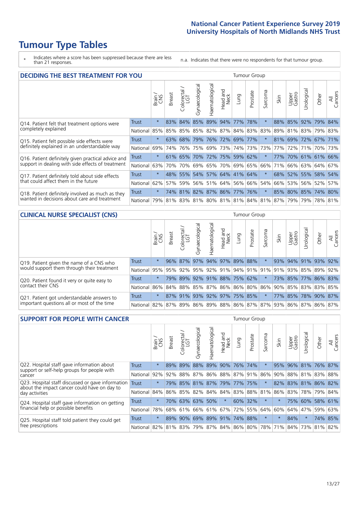# **Tumour Type Tables**

\* Indicates where a score has been suppressed because there are less than 21 responses.

n.a. Indicates that there were no respondents for that tumour group.

| <b>DECIDING THE BEST TREATMENT FOR YOU</b>         |              |         |               |                            |                |                |                        |                                   | <b>Tumour Group</b> |              |                                         |                 |                     |             |                |
|----------------------------------------------------|--------------|---------|---------------|----------------------------|----------------|----------------|------------------------|-----------------------------------|---------------------|--------------|-----------------------------------------|-----------------|---------------------|-------------|----------------|
|                                                    |              | Brain   | <b>Breast</b> | olorectal<br>LGT<br>$\cup$ | Gynaecological | Haematological | ad and<br>Neck<br>Head | Lung                              | Prostate            | arcoma<br>vĀ | Skin                                    | Upper<br>Gastro | Jrological          | Other       | All<br>Cancers |
| Q14. Patient felt that treatment options were      | <b>Trust</b> | $\star$ | 83%           | 84%                        | 85%            | 89% 94%        |                        | 77%                               | 78%                 | $\star$      | 88%                                     | 85%             | 92%                 | 79%         | 84%            |
| completely explained                               | National     | 85%     | 85%           | 85%                        |                |                |                        | 85%   82%   87%   84%   83%   83% |                     |              | 89%                                     |                 | 81% 83%             | 79% 83%     |                |
| Q15. Patient felt possible side effects were       | Trust        | $\star$ | 63%           | 68%                        |                |                | 79% 76% 72%            |                                   | 69% 77%             |              | 81%                                     |                 | 69% 72% 67% 71%     |             |                |
| definitely explained in an understandable way      | National     | 69%     | 74%           | 76%                        |                |                | 75% 69% 73%            |                                   | 74% 73%             | 73%          | 77%                                     | 72%             | 71%                 | 70% 73%     |                |
| Q16. Patient definitely given practical advice and | Trust        | $\star$ |               | 61% 65%                    |                |                |                        | 70% 72% 75% 59% 62%               |                     | 大            | <b>77%</b>                              |                 | 70% 61% 61% 66%     |             |                |
| support in dealing with side effects of treatment  | National     | 63%     | 70%           | 70%                        |                |                |                        | 69% 65% 70% 69% 65%               |                     | 66%          | 71%                                     |                 | 66% 63% 64% 67%     |             |                |
| Q17. Patient definitely told about side effects    | Trust        | $\star$ |               |                            |                |                |                        | 48% 55% 54% 57% 64% 41% 64%       |                     | $\ast$       |                                         |                 | 68% 52% 55% 58% 54% |             |                |
| that could affect them in the future               | National     | 62%     | 57%           | 59%                        |                |                |                        | 56% 51% 64% 56% 66%               |                     | 54%          | 66%                                     | 53%             |                     | 56% 52%     | 57%            |
| Q18. Patient definitely involved as much as they   | Trust        | $\star$ |               |                            |                |                |                        | 74% 81% 82% 87% 86% 77% 76%       |                     | $\ast$       |                                         |                 | 85% 80% 85% 74% 80% |             |                |
| wanted in decisions about care and treatment       | National     | 79%     |               |                            |                |                |                        |                                   |                     |              | 81% 83% 81% 80% 81% 81% 84% 81% 87% 79% |                 |                     | 79% 78% 81% |                |

#### **CLINICAL NURSE SPECIALIST (CNS)** Tumour Group

|                                             |              | Brain<br>CNS | <b>Breast</b> | Colorectal<br>LGT | Gynaecologic | ᠊ᢛ<br>Ü<br>aematologi | Head and<br>Neck            | Lung | Prostate | Sarcoma | Skin | Upper<br>Gastro | ᅙ<br>Irologica | Other                                                                       | All<br>Cancers |
|---------------------------------------------|--------------|--------------|---------------|-------------------|--------------|-----------------------|-----------------------------|------|----------|---------|------|-----------------|----------------|-----------------------------------------------------------------------------|----------------|
| Q19. Patient given the name of a CNS who    | <b>Trust</b> | $\star$      |               | 96% 87%           | 97%          |                       | 94% 97% 89% 88%             |      |          |         |      | 93% 94%         |                | 91% 93%                                                                     | 92%            |
| would support them through their treatment  | National     |              |               |                   |              |                       |                             |      |          |         |      |                 |                | 95% 95% 92% 95% 92% 91% 94% 91% 91% 91% 93% 85% 89%                         | 92%            |
| Q20. Patient found it very or quite easy to | <b>Trust</b> | $\star$      |               |                   |              |                       | 79% 89% 92% 91% 88% 75% 62% |      |          | $\star$ |      |                 |                | 73% 85% 77% 86% 83%                                                         |                |
| contact their CNS                           | National     |              |               |                   |              |                       |                             |      |          |         |      |                 |                | 86% 84% 88% 85% 87% 86% 86% 80% 86% 90% 85% 83% 83%                         | 85%            |
| Q21. Patient got understandable answers to  | Trust        | $\star$      |               | 87% 91%           | 93%          |                       | 92% 97% 75% 85%             |      |          | $\star$ |      | 77% 85%         |                | 78% 90%                                                                     | 87%            |
| important questions all or most of the time | National     |              |               |                   |              |                       |                             |      |          |         |      |                 |                | 82%   87%   89%   86%   89%   88%   86%   87%   87%   93%   86%   87%   86% | 87%            |

| <b>SUPPORT FOR PEOPLE WITH CANCER</b>                                                             |              |         |               |                             |                |                |                        |             | Tumour Group |         |             |                 |            |             |                |
|---------------------------------------------------------------------------------------------------|--------------|---------|---------------|-----------------------------|----------------|----------------|------------------------|-------------|--------------|---------|-------------|-----------------|------------|-------------|----------------|
|                                                                                                   |              | Brain   | <b>Breast</b> | ╮<br>olorectal.<br>LGT<br>Ũ | Gynaecological | Haematological | ad and<br>Neck<br>Head | <b>Dung</b> | Prostate     | Sarcoma | Skin        | Upper<br>Gastro | Jrological | Other       | All<br>Cancers |
| Q22. Hospital staff gave information about<br>support or self-help groups for people with         | <b>Trust</b> | $\star$ | 89%           | 89%                         | 88%            | 89%            | 90%                    |             | 76% 74%      |         | 95%         | 96%             |            | 81% 76% 87% |                |
| cancer                                                                                            | National     | 92%     | 92%           | 88%                         | 87%            |                | 86% 88% 87% 91%        |             |              | 86%     | 90%         | 88%             | 81%        | 83%         | 88%            |
| Q23. Hospital staff discussed or gave information<br>about the impact cancer could have on day to | <b>Trust</b> | $\star$ |               | 79% 85%                     | 81%            |                | 87% 79%                | 77% 75%     |              | $\star$ | 82%         | 83%             | $ 81\% $   |             | 86% 82%        |
| day activities                                                                                    | National     | 84%     |               |                             | 86% 85% 82%    |                | 84% 84%                | 83% 88%     |              | 81%     | 86%         | 83%             | 78%        | 79%         | 84%            |
| Q24. Hospital staff gave information on getting                                                   | Trust        | $\star$ |               |                             | 70% 63% 63%    | 50%            | $\star$                |             | 60% 32%      | $\ast$  | $\star$     |                 | 75% 60%    |             | 58% 61%        |
| financial help or possible benefits                                                               | National     | 78%     |               | 68% 61%                     |                | 66% 61% 67%    |                        |             | 72% 55%      | 64%     | 60%         | 64%             | 47%        | 59%         | 63%            |
| Q25. Hospital staff told patient they could get                                                   | Trust        | $\star$ | 89%           | 90%                         |                | 69% 89% 91%    |                        | <b>74%</b>  | 88%          | $\star$ | $\star$     | 84%             | $\star$    |             | 74% 85%        |
| free prescriptions                                                                                | National I   | 82%     |               | 81% 83%                     | 79%            |                | 87% 84% 86% 80%        |             |              |         | 78% 71% 84% |                 |            | 73% 81% 82% |                |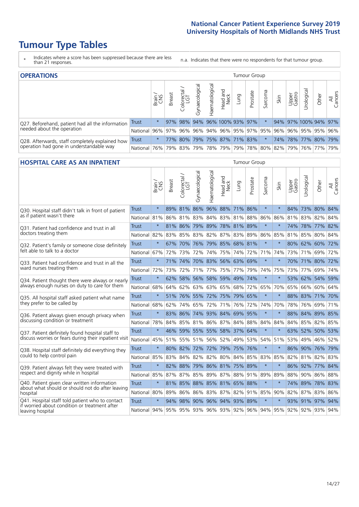# **Tumour Type Tables**

- \* Indicates where a score has been suppressed because there are less than 21 responses.
- n.a. Indicates that there were no respondents for that tumour group.

| <b>OPERATIONS</b>                                |              |              |               |            |                    |                |                                                       |      | Tumour Group |         |      |                 |                       |       |                |
|--------------------------------------------------|--------------|--------------|---------------|------------|--------------------|----------------|-------------------------------------------------------|------|--------------|---------|------|-----------------|-----------------------|-------|----------------|
|                                                  |              | Brain<br>CNS | <b>Breast</b> | Colorectal | ᠊ᢛ<br>Gynaecologic | Haematological | Head and<br>Neck                                      | Lung | Prostate     | Sarcoma | Skin | Upper<br>Gastro | $\sigma$<br>Jrologica | Other | All<br>Cancers |
| Q27. Beforehand, patient had all the information | Trust        | $\star$      |               | 97% 98%    |                    |                | 94% 96% 100% 93% 97%                                  |      |              |         |      |                 | 94% 97% 100% 94% 97%  |       |                |
| needed about the operation                       | National     | 96%          |               | 97% 96%    |                    |                | 96% 94% 96% 95% 97% 95% 96%                           |      |              |         |      |                 | 96% 95% 95% 96%       |       |                |
| Q28. Afterwards, staff completely explained how  | <b>Trust</b> | $\star$      | 77%           | $80\%$     |                    |                | 79%   75%   87%   71%   83%                           |      |              |         |      |                 | 74% 78% 77% 80% 79%   |       |                |
| operation had gone in understandable way         | National     | 76%          |               | 79% 83%    |                    |                | 79%  78%  79%  79%  78%  80%  82%  79%  76%  77%  79% |      |              |         |      |                 |                       |       |                |

#### **HOSPITAL CARE AS AN INPATIENT** Tumour Group

|                                                                                                  |                                              | Brain   | Breast | Colorectal /<br>LGT | Gynaecological | Haematological              | Head and<br>Neck | Lung            | Prostate | Sarcoma | Skin    | Upper<br>Gastro     | Urological | Other           | All<br>Cancers |
|--------------------------------------------------------------------------------------------------|----------------------------------------------|---------|--------|---------------------|----------------|-----------------------------|------------------|-----------------|----------|---------|---------|---------------------|------------|-----------------|----------------|
| Q30. Hospital staff didn't talk in front of patient                                              | Trust                                        | $\star$ | 89%    | 81%                 | 86%            |                             |                  | 96% 88% 71% 86% |          | $\star$ | $\star$ | 84%                 |            | 73% 80% 84%     |                |
| as if patient wasn't there                                                                       | National 81%                                 |         | 86%    |                     | 81% 83%        | 84% 83% 81%                 |                  |                 | 88%      | 86%     | 86%     |                     |            | 81% 83% 82% 84% |                |
| 031. Patient had confidence and trust in all                                                     | <b>Trust</b>                                 | $\star$ |        | 81% 86%             |                | 79% 89% 78% 81% 89%         |                  |                 |          | $\star$ | $\star$ |                     | 74% 78%    | 77% 82%         |                |
| doctors treating them                                                                            | National                                     | 82%     | 83%    | 85%                 |                | 83% 82%                     |                  | 87% 83% 89%     |          | 86%     | 85%     |                     | 81% 85%    | 80%             | 84%            |
| Q32. Patient's family or someone close definitely                                                | <b>Trust</b>                                 | $\star$ | 67%    | 70%                 | 76%            | 79% 85% 68% 81%             |                  |                 |          | $\star$ | $\star$ |                     |            | 80% 62% 60% 72% |                |
| felt able to talk to a doctor                                                                    | National 67%                                 |         | 72%    | 73%                 | 72%            | 74%                         | 75%              | 74% 72%         |          | 71%     | 74%     |                     | 73% 71%    | 69%             | 72%            |
| Q33. Patient had confidence and trust in all the                                                 | <b>Trust</b>                                 | $\star$ | 71%    | 74%                 |                | 70% 83% 56% 63% 69%         |                  |                 |          | $\star$ | $\star$ |                     |            | 70% 71% 80% 72% |                |
| ward nurses treating them                                                                        | National 72%                                 |         | 73%    | 72%                 |                | 71% 77%                     |                  | 75% 77% 79%     |          | 74%     | 75%     |                     | 73% 77%    | 69% 74%         |                |
| Q34. Patient thought there were always or nearly                                                 | <b>Trust</b>                                 | $\star$ | 62%    | 58%                 |                | 56% 58%                     |                  | 59% 49% 74%     |          | $\star$ | $\star$ | 53%                 | 62%        | 54% 59%         |                |
| always enough nurses on duty to care for them                                                    | National                                     | 68%     | 64%    |                     |                | 62% 63% 63% 65% 68% 72%     |                  |                 |          | 65%     | 70%     |                     |            | 65% 66% 60% 64% |                |
| Q35. All hospital staff asked patient what name                                                  | Trust                                        | $\star$ |        | 51% 76%             |                | 55% 72% 75% 79% 65%         |                  |                 |          | $\star$ | $\star$ |                     |            | 88% 83% 71% 70% |                |
| they prefer to be called by                                                                      | National                                     | 68%     | 62%    | 74%                 | 65%            | 72%                         | 71%              | 76% 72%         |          | 74%     | 70%     | 78%                 | 76%        | 69%             | 71%            |
| Q36. Patient always given enough privacy when                                                    | Trust                                        | $\star$ | 83%    | 86%                 |                | 74% 93% 84% 69% 95%         |                  |                 |          | $\star$ | $\star$ | 88%                 | 84%        | 89% 85%         |                |
| discussing condition or treatment                                                                | National                                     | 78%     |        |                     |                | 84% 85% 81% 86% 87% 84% 88% |                  |                 |          | 84%     | 84%     |                     |            | 84% 85% 82% 85% |                |
| Q37. Patient definitely found hospital staff to                                                  | <b>Trust</b>                                 | $\star$ |        | 46% 59%             |                | 55% 55% 58% 37% 64%         |                  |                 |          | $\star$ |         |                     |            | 63% 52% 50% 53% |                |
| discuss worries or fears during their inpatient visit                                            | National 45%                                 |         | 51%    |                     |                | 55% 51% 56%                 |                  | 52% 49%         | 53%      | 54%     | 51%     |                     | 53% 49%    | 46% 52%         |                |
| Q38. Hospital staff definitely did everything they                                               | <b>Trust</b>                                 | $\star$ |        |                     |                | 80% 82% 72% 72% 79% 75% 76% |                  |                 |          | $\star$ | $\star$ |                     |            | 86% 90% 76% 79% |                |
| could to help control pain                                                                       | National 85%                                 |         | 83%    |                     |                | 84% 82% 82% 80% 84% 85%     |                  |                 |          | 83%     | 85%     |                     |            | 82% 81% 82% 83% |                |
| Q39. Patient always felt they were treated with                                                  | <b>Trust</b>                                 | $\star$ | 82%    | 88%                 |                | 79% 86% 81% 75% 89%         |                  |                 |          | $\star$ |         | 86%                 | 92%        | 77% 84%         |                |
| respect and dignity while in hospital                                                            | National                                     | 85%     | 87%    | 87%                 | 85%            | 89%                         | 87%              | 88%             | 91%      | 89%     | 89%     | 88%                 | 90%        | 86%             | 88%            |
| Q40. Patient given clear written information<br>about what should or should not do after leaving | <b>Trust</b>                                 | $\star$ |        |                     |                | 81% 85% 88% 85% 81% 65% 88% |                  |                 |          | $\star$ | $\star$ |                     |            | 74% 89% 78% 83% |                |
| hospital                                                                                         | National 80%                                 |         | 89%    |                     |                | 86% 86% 83% 87% 82% 91%     |                  |                 |          | 85%     | 90%     | 82% 87%             |            | 83% 86%         |                |
| Q41. Hospital staff told patient who to contact<br>if worried about condition or treatment after | <b>Trust</b>                                 | $\star$ | 94%    | 98%                 |                | 90% 96% 94% 93% 89%         |                  |                 |          | $\star$ | $\star$ |                     |            | 93% 91% 97%     | 94%            |
| leaving hospital                                                                                 | National 94% 95% 95% 93% 96% 93% 92% 96% 94% |         |        |                     |                |                             |                  |                 |          |         |         | 95% 92% 92% 93% 94% |            |                 |                |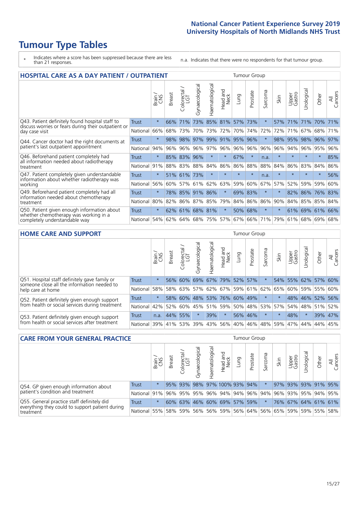# **Tumour Type Tables**

- \* Indicates where a score has been suppressed because there are less than 21 responses.
- n.a. Indicates that there were no respondents for that tumour group.

| <b>HOSPITAL CARE AS A DAY PATIENT / OUTPATIENT</b>                                                                    |              |         |               |                         |                 |                |                                 |          |          | <b>Tumour Group</b>      |         |                 |             |         |                |  |  |  |
|-----------------------------------------------------------------------------------------------------------------------|--------------|---------|---------------|-------------------------|-----------------|----------------|---------------------------------|----------|----------|--------------------------|---------|-----------------|-------------|---------|----------------|--|--|--|
|                                                                                                                       |              | Brain   | <b>Breast</b> | olorectal /<br>LGT<br>Ũ | Gynaecological  | Haematological | <b>Bad and<br/>Neck</b><br>Head | Lung     | Prostate | arcoma<br>$\overline{ }$ | Skin    | Upper<br>Gastro | Urological  | Other   | All<br>Cancers |  |  |  |
| Q43. Patient definitely found hospital staff to                                                                       | <b>Trust</b> | $\star$ | 66%           | 71%                     | 73%             | 85%            | 81%                             | 57%      | 73%      | $\ast$                   | 57%     | 71%             | 71%         | 70%     | 71%            |  |  |  |
| discuss worries or fears during their outpatient or<br>day case visit                                                 | National     | 66%     | 68%           | 73%                     | 70%             | 73%            | 72%                             | 70%      | 74%      | 72%                      | 72%     | 71%             | 67%         | 68%     | 71%            |  |  |  |
| Q44. Cancer doctor had the right documents at<br>patient's last outpatient appointment                                | Trust        | $\star$ | 98%           | 98%                     | 97%             | 99%            | 91%                             | 95%      | 96%      | $\star$                  | 98%     | 95%             | 98%         | 96%     | 97%            |  |  |  |
|                                                                                                                       | National     | 94%     | 96%           | 96%                     | 96%             | 97%            | 96%                             | $ 96\% $ | 96%      | 96%                      | 96%     | 94%             | 96%         | 95%     | 96%            |  |  |  |
| Q46. Beforehand patient completely had                                                                                | Trust        | $\star$ |               | 85% 83% 96%             |                 | $\ast$         | $\star$                         | 67%      | $\star$  | n.a.                     |         |                 | $\star$     | $\ast$  | 85%            |  |  |  |
| all information needed about radiotherapy<br>treatment                                                                | National     | 91%     | 88%           | 83%                     | 88%             | 84%            | 86%                             | 86%      | 88%      | 88%                      | 84%     | 86%             | 83%         | 84%     | 86%            |  |  |  |
| Q47. Patient completely given understandable                                                                          | Trust        | $\star$ |               | 51% 61%                 | 73%             | $\star$        | $\star$                         | $\star$  | $\star$  | n.a.                     | $\star$ | $\star$         | $\star$     | $\star$ | 56%            |  |  |  |
| information about whether radiotherapy was<br>working                                                                 | National     | 56%     | 60%           | 57%                     | 61%             | 62%            | 63%                             | 59%      | 60%      | 67%                      | 57%     | 52%             | 59%         | 59%     | 60%            |  |  |  |
| Q49. Beforehand patient completely had all                                                                            | Trust        | $\star$ | 78%           | 85% 91%                 |                 | 86%            | $\star$                         | 69%      | 83%      | $\star$                  | $\ast$  | 82%             | 86%         | 76%     | 83%            |  |  |  |
| information needed about chemotherapy<br>treatment                                                                    | National     | 80%     | 82%           | 86%                     | 87%             | 85%            | 79%                             | 84%      | 86%      | 86%                      | 90%     | 84%             | 85%         | 85%     | 84%            |  |  |  |
| Q50. Patient given enough information about<br>whether chemotherapy was working in a<br>completely understandable way | <b>Trust</b> | $\star$ |               |                         | 62% 61% 68% 81% |                | $\star$                         | 50%      | 68%      | $\star$                  |         |                 | 61% 69% 61% |         | 66%            |  |  |  |
|                                                                                                                       | National     | 54%     | 62%           | 64%                     | 68%             | 75%            | 57%                             | 67%      | 66%      | 71%                      | 79%     | 61%             |             | 68% 69% | 68%            |  |  |  |

#### **HOME CARE AND SUPPORT** Tumour Group

|              | Brain   | <b>Breast</b> | Colorectal<br>LGT          | त्त<br>Gynaecologic                            | Haematological | Head and<br>Neck | Dung | Prostate | Sarcoma                                                                   | Skin    | Upper<br>Gastro | Urological                                                                        | Other   | All<br>Cancers                                                              |
|--------------|---------|---------------|----------------------------|------------------------------------------------|----------------|------------------|------|----------|---------------------------------------------------------------------------|---------|-----------------|-----------------------------------------------------------------------------------|---------|-----------------------------------------------------------------------------|
| <b>Trust</b> | $\star$ | 56%           | 60%                        | 69%                                            |                |                  |      |          |                                                                           |         |                 |                                                                                   |         |                                                                             |
| National     |         |               |                            |                                                |                |                  |      |          |                                                                           |         |                 |                                                                                   |         |                                                                             |
| Trust        | $\star$ |               |                            |                                                |                |                  |      |          |                                                                           |         |                 |                                                                                   |         |                                                                             |
| National     |         |               |                            |                                                |                |                  |      |          |                                                                           |         |                 |                                                                                   |         | 52%                                                                         |
| Trust        | n.a.    |               |                            | $\star$                                        | 39%            | $\ast$           |      |          | $\star$                                                                   | $\star$ | 48%             | $\star$                                                                           | 39% 47% |                                                                             |
|              |         |               |                            | 39%                                            |                |                  |      |          |                                                                           |         |                 |                                                                                   | 44%     | 45%                                                                         |
|              |         |               | 58%<br>42%<br>National 39% | 60%<br>58%<br>52%<br>60%<br>44% 55%<br>41% 53% | 58% 63%        |                  |      |          | 67% 79% 52% 57%<br>48% 53% 76% 60% 49%<br>56% 46%<br> 43% 56% 40% <br>46% |         | 48% 59%         | 54%<br>57% 62% 67% 59% 61% 62% 65%  <br>  45%   51%   59%   50%   48%   53%   57% | 55%     | 62% 57% 60%<br>60% 59% 55% 60%<br>48% 46% 52% 56%<br>54% 48% 51%<br>47% 44% |

| <b>CARE FROM YOUR GENERAL PRACTICE</b>                                                                     | Tumour Group |         |               |                   |                |                |                                                     |      |          |         |      |                 |                     |       |                |
|------------------------------------------------------------------------------------------------------------|--------------|---------|---------------|-------------------|----------------|----------------|-----------------------------------------------------|------|----------|---------|------|-----------------|---------------------|-------|----------------|
|                                                                                                            |              | Brain   | <b>Breast</b> | Colorectal<br>LGT | Gynaecological | Haematological | Head and<br>Neck                                    | Lung | Prostate | Sarcoma | Skin | Upper<br>Gastro | Urological          | Other | All<br>Cancers |
| Q54. GP given enough information about<br>patient's condition and treatment                                | <b>Trust</b> | $\star$ |               | 95% 93%           |                |                | 98% 97% 100% 93% 94%                                |      |          |         |      |                 | 97% 93% 93% 91% 95% |       |                |
|                                                                                                            | National     | 91%     |               |                   |                |                | 96% 95% 95% 96% 94% 94% 96% 94% 96% 93% 95% 94% 95% |      |          |         |      |                 |                     |       |                |
| Q55. General practice staff definitely did<br>everything they could to support patient during<br>treatment | <b>Trust</b> | $\star$ |               |                   |                |                | 60% 63% 46% 60% 69% 57% 59%                         |      |          |         |      |                 | 76% 67% 64% 61% 61% |       |                |
|                                                                                                            | National     | 55%     |               | 58% 59%           |                |                | 56% 56% 59% 56% 64% 56% 65% 59% 59% 55% 58%         |      |          |         |      |                 |                     |       |                |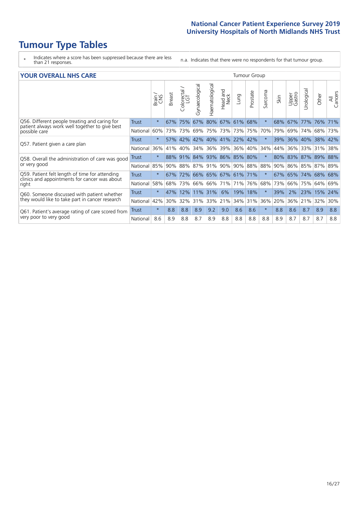# **Tumour Type Tables**

- \* Indicates where a score has been suppressed because there are less than 21 responses.
- n.a. Indicates that there were no respondents for that tumour group.

| <b>YOUR OVERALL NHS CARE</b> |  |  |
|------------------------------|--|--|
|------------------------------|--|--|

| <b>YOUR OVERALL NHS CARE</b>                                                |              |         |               |                        |                |                          |                  |         |          | <b>Tumour Group</b> |      |                 |             |             |                |  |  |  |
|-----------------------------------------------------------------------------|--------------|---------|---------------|------------------------|----------------|--------------------------|------------------|---------|----------|---------------------|------|-----------------|-------------|-------------|----------------|--|--|--|
|                                                                             |              | Brain   | <b>Breast</b> | olorectal.<br>LGT<br>Û | Gynaecological | Haematological           | Head and<br>Neck | Lung    | Prostate | arcoma<br>ιň        | Skin | Upper<br>Gastro | Urologica   | Other       | All<br>Cancers |  |  |  |
| Q56. Different people treating and caring for                               | <b>Trust</b> | $\star$ | 67%           | 75%                    | 67%            | 80%                      | 67%              | 61% 68% |          | $\star$             | 68%  | 67%             | 77%         | 76%         | 71%            |  |  |  |
| patient always work well together to give best<br>possible care             | National     | 60%     | 73%           | 73%                    | 69%            | 75%                      | 73%              | 73%     | 75%      | 70%                 | 79%  | 69%             | 74%         | 68%         | 73%            |  |  |  |
| Q57. Patient given a care plan                                              | Trust        | $\star$ | <b>57%</b>    | 42%                    |                | 42\% 40\% 41\% 22\% 42\% |                  |         |          | $\star$             | 39%  |                 | 36% 40% 38% |             | 42%            |  |  |  |
|                                                                             | National     | 36%     | 41%           | 40%                    | 34%            | 36% 39%                  |                  |         | 36% 40%  | 34%                 | 44%  | 36% 33% 31%     |             |             | 38%            |  |  |  |
| Q58. Overall the administration of care was good                            | Trust        | $\star$ |               | 88% 91%                |                | 84% 93% 86% 85% 80%      |                  |         |          | $^\star$            | 80%  |                 |             | 83% 87% 89% | 88%            |  |  |  |
| or very good                                                                | National     | 85%     | 90%           | 88%                    | 87%            | 91%                      | 90%              | 90% 88% |          | 88%                 | 90%  | 86%             | 85%         | 87%         | 89%            |  |  |  |
| Q59. Patient felt length of time for attending                              | <b>Trust</b> | $\star$ | 67%           | 72%                    |                | 66% 65% 67% 61% 71%      |                  |         |          | $\ast$              | 67%  | 65%             | 74%         | 68%         | 68%            |  |  |  |
| clinics and appointments for cancer was about<br>right                      | National     | 58%     | 68%           | 73%                    |                | 66% 66%                  | 71%              |         | 71% 76%  | 68%                 | 73%  | 66%             | 75%         | 64%         | 69%            |  |  |  |
| Q60. Someone discussed with patient whether                                 | Trust        | $\star$ | 47%           | 12%                    |                | 11% 31%                  | 6%               | 19%     | 18%      | $\ast$              | 39%  | 2%              | 23%         | 15%         | 24%            |  |  |  |
| they would like to take part in cancer research                             | National     | 42%     | 30%           | 32%                    | 31%            | 33%                      | 21%              | 34%     | 31%      | 36%                 | 20%  | 36%             | 21%         | 32%         | 30%            |  |  |  |
| Q61. Patient's average rating of care scored from<br>very poor to very good | <b>Trust</b> | $\star$ | 8.8           | 8.8                    | 8.9            | 9.2                      | 9.0              | 8.6     | 8.6      | $\star$             | 8.8  | 8.6             | 8.7         | 8.9         | 8.8            |  |  |  |
|                                                                             | National     | 8.6     | 8.9           | 8.8                    | 8.7            | 8.9                      | 8.8              | 8.8     | 8.8      | 8.8                 | 8.9  | 8.7             | 8.7         | 8.7         | 8.8            |  |  |  |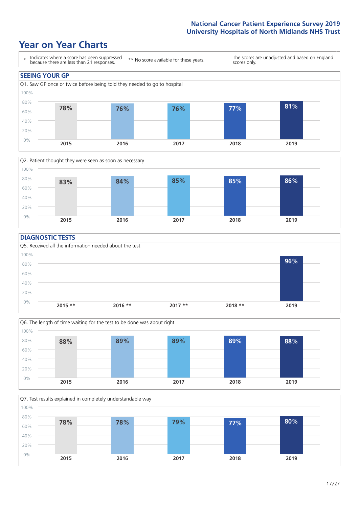### **Year on Year Charts**





#### **DIAGNOSTIC TESTS**





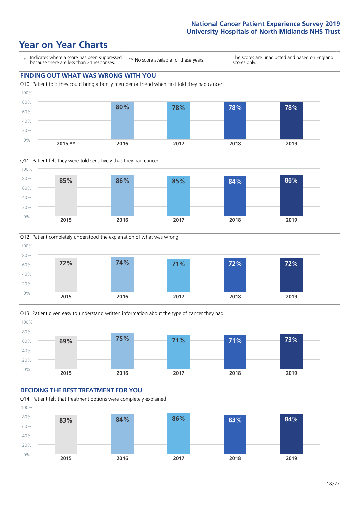### **Year on Year Charts**









#### **DECIDING THE BEST TREATMENT FOR YOU** Q14. Patient felt that treatment options were completely explained 0% 20% 40% 60% 80% 100% **2015 2016 2017 2018 2019 83% 84% 86% 83% 84%**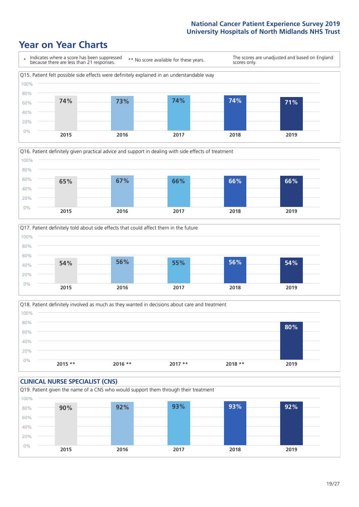### **Year on Year Charts**







Q18. Patient definitely involved as much as they wanted in decisions about care and treatment  $0%$ 20% 40% 60% 80% 100% **2015 \*\* 2016 \*\* 2017 \*\* 2018 \*\* 2019 80%**

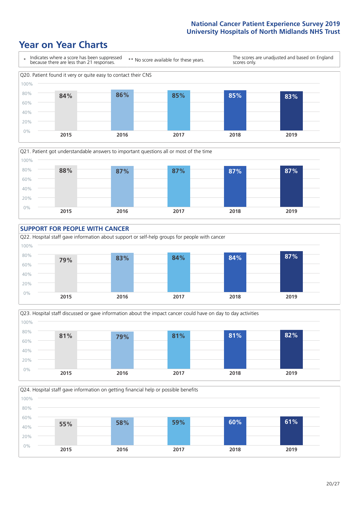### **Year on Year Charts**











Q24. Hospital staff gave information on getting financial help or possible benefits 0% 20% 40% 60% 80% 100% **2015 2016 2017 2018 2019 55% 58% 59% 60% 61%**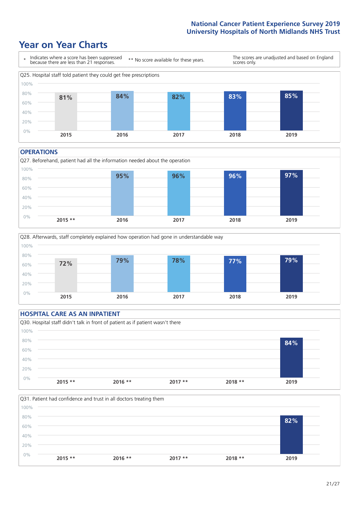### **Year on Year Charts**



#### **OPERATIONS**





#### **HOSPITAL CARE AS AN INPATIENT** Q30. Hospital staff didn't talk in front of patient as if patient wasn't there 0% 20% 40% 60% 80% 100% **2015 \*\* 2016 \*\* 2017 \*\* 2018 \*\* 2019 84%**

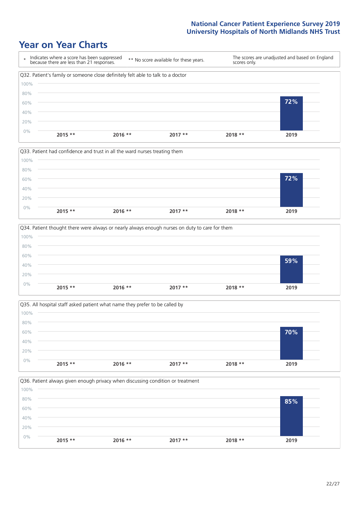### **Year on Year Charts**









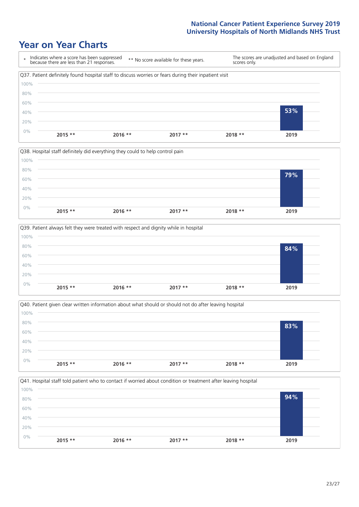### **Year on Year Charts**









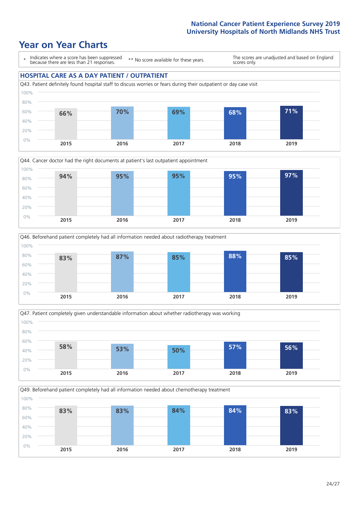### **Year on Year Charts**

\* Indicates where a score has been suppressed because there are less than 21 responses.

\*\* No score available for these years.

The scores are unadjusted and based on England scores only.

#### **HOSPITAL CARE AS A DAY PATIENT / OUTPATIENT**









Q49. Beforehand patient completely had all information needed about chemotherapy treatment

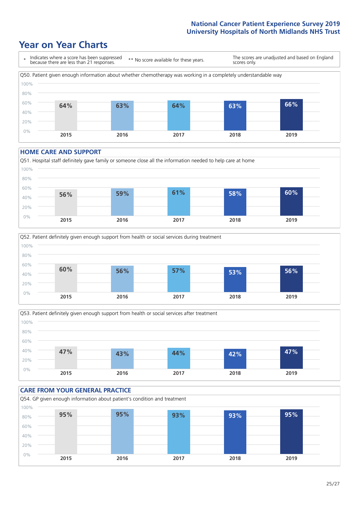### **Year on Year Charts**



#### **HOME CARE AND SUPPORT**







#### **CARE FROM YOUR GENERAL PRACTICE** Q54. GP given enough information about patient's condition and treatment 0% 20% 40% 60% 80% 100% **2015 2016 2017 2018 2019 95% 95% 93% 93% 95%**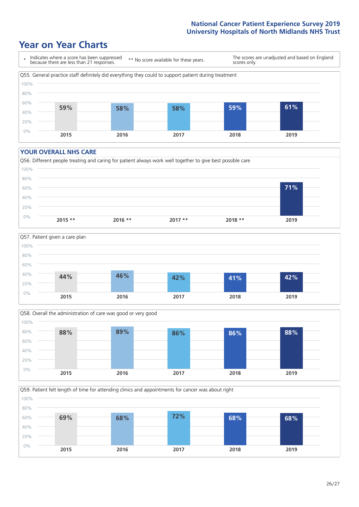### **Year on Year Charts**



#### **YOUR OVERALL NHS CARE**







Q59. Patient felt length of time for attending clinics and appointments for cancer was about right